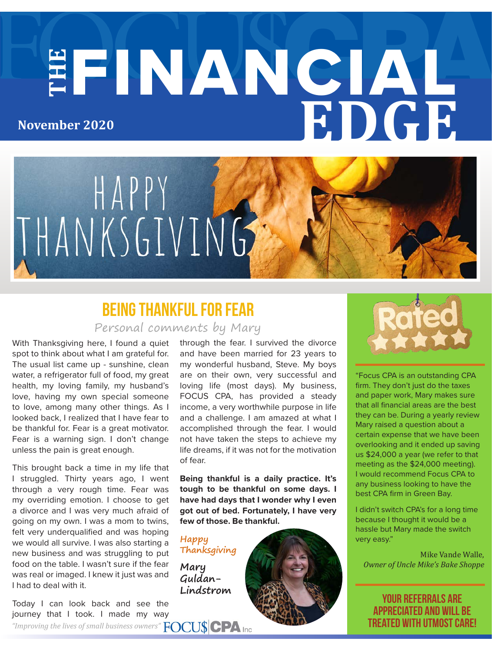# **THE** FINANCIAL **EDGE November 2020**



### Personal comments by Mary Being Thankful for Fear

With Thanksgiving here, I found a quiet spot to think about what I am grateful for. The usual list came up - sunshine, clean water, a refrigerator full of food, my great health, my loving family, my husband's love, having my own special someone to love, among many other things. As I looked back, I realized that I have fear to be thankful for. Fear is a great motivator. Fear is a warning sign. I don't change unless the pain is great enough.

This brought back a time in my life that I struggled. Thirty years ago, I went through a very rough time. Fear was my overriding emotion. I choose to get a divorce and I was very much afraid of going on my own. I was a mom to twins, felt very underqualified and was hoping we would all survive. I was also starting a new business and was struggling to put food on the table. I wasn't sure if the fear was real or imaged. I knew it just was and I had to deal with it.

through the fear. I survived the divorce and have been married for 23 years to my wonderful husband, Steve. My boys are on their own, very successful and loving life (most days). My business, FOCUS CPA, has provided a steady income, a very worthwhile purpose in life and a challenge. I am amazed at what I accomplished through the fear. I would not have taken the steps to achieve my life dreams, if it was not for the motivation of fear.

**Being thankful is a daily practice. It's tough to be thankful on some days. I have had days that I wonder why I even got out of bed. Fortunately, I have very few of those. Be thankful.**

**Happy Thanksgiving**

**Mary Guldan-Lindstrom**



"Focus CPA is an outstanding CPA firm. They don't just do the taxes and paper work, Mary makes sure that all financial areas are the best they can be. During a yearly review Mary raised a question about a certain expense that we have been overlooking and it ended up saving us \$24,000 a year (we refer to that meeting as the \$24,000 meeting). I would recommend Focus CPA to any business looking to have the best CPA firm in Green Bay.

I didn't switch CPA's for a long time because I thought it would be a hassle but Mary made the switch very easy."

Mike Vande Walle, *Owner of Uncle Mike's Bake Shoppe*

your referrals are appreciated and will be treated with utmost care!

Today I can look back and see the journey that I took. I made my way

*"Improving the lives of small business owners"*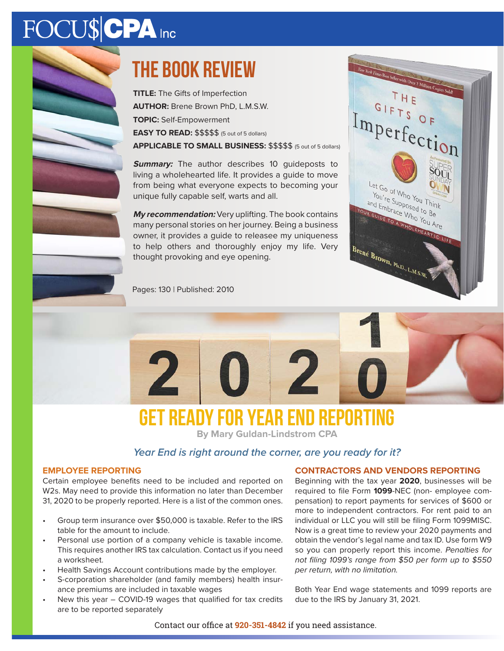# FOCU\$CPA Inc



Pages: 130 | Published: 2010

**TITLE:** The Gifts of Imperfection **AUTHOR:** Brene Brown PhD, L.M.S.W. **TOPIC:** Self-Empowerment **EASY TO READ:** \$\$\$\$\$ (5 out of 5 dollars)

**APPLICABLE TO SMALL BUSINESS:** \$\$\$\$\$ (5 out of 5 dollars)

**Summary:** The author describes 10 quideposts to living a wholehearted life. It provides a guide to move from being what everyone expects to becoming your unique fully capable self, warts and all.

**My recommendation:** Very uplifting. The book contains many personal stories on her journey. Being a business owner, it provides a guide to releasee my uniqueness to help others and thoroughly enjoy my life. Very thought provoking and eye opening.



w York Times Best Seller with Over 2 Million C



## **Get Ready for Year End reporting**

**By Mary Guldan-Lindstrom CPA**

#### *Year End is right around the corner, are you ready for it?*

#### **EMPLOYEE REPORTING**

Certain employee benefits need to be included and reported on W2s. May need to provide this information no later than December 31, 2020 to be properly reported. Here is a list of the common ones.

- Group term insurance over \$50,000 is taxable. Refer to the IRS table for the amount to include.
- Personal use portion of a company vehicle is taxable income. This requires another IRS tax calculation. Contact us if you need a worksheet.
- Health Savings Account contributions made by the employer.
- S-corporation shareholder (and family members) health insurance premiums are included in taxable wages
- New this year COVID-19 wages that qualified for tax credits are to be reported separately

#### **CONTRACTORS AND VENDORS REPORTING**

Beginning with the tax year **2020**, businesses will be required to file Form **1099**-NEC (non- employee compensation) to report payments for services of \$600 or more to independent contractors. For rent paid to an individual or LLC you will still be filing Form 1099MISC. Now is a great time to review your 2020 payments and obtain the vendor's legal name and tax ID. Use form W9 so you can properly report this income. *Penalties for not filing 1099's range from \$50 per form up to \$550 per return, with no limitation.*

Both Year End wage statements and 1099 reports are due to the IRS by January 31, 2021.

Contact our office at **920-351-4842** if you need assistance.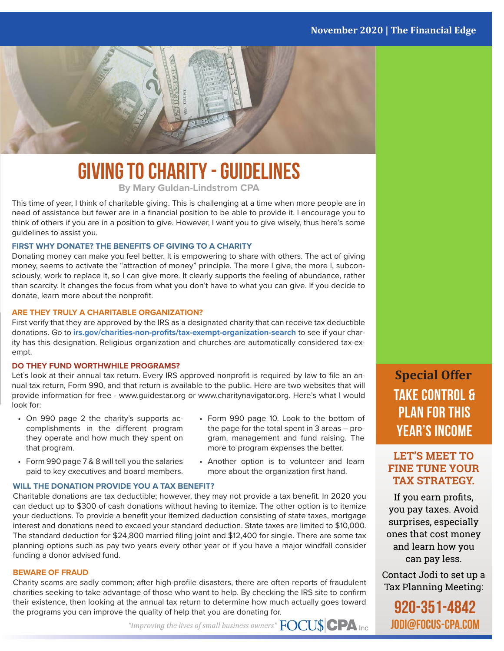

# **Giving to Charity - Guidelines**

**By Mary Guldan-Lindstrom CPA**

This time of year, I think of charitable giving. This is challenging at a time when more people are in need of assistance but fewer are in a financial position to be able to provide it. I encourage you to think of others if you are in a position to give. However, I want you to give wisely, thus here's some guidelines to assist you.

#### **FIRST WHY DONATE? THE BENEFITS OF GIVING TO A CHARITY**

Donating money can make you feel better. It is empowering to share with others. The act of giving money, seems to activate the "attraction of money" principle. The more I give, the more I, subconsciously, work to replace it, so I can give more. It clearly supports the feeling of abundance, rather than scarcity. It changes the focus from what you don't have to what you can give. If you decide to donate, learn more about the nonprofit.

#### **ARE THEY TRULY A CHARITABLE ORGANIZATION?**

First verify that they are approved by the IRS as a designated charity that can receive tax deductible donations. Go to **irs.gov/charities-non-profits/tax-exempt-organization-search** to see if your charity has this designation. Religious organization and churches are automatically considered tax-exempt.

#### **DO THEY FUND WORTHWHILE PROGRAMS?**

Let's look at their annual tax return. Every IRS approved nonprofit is required by law to file an annual tax return, Form 990, and that return is available to the public. Here are two websites that will provide information for free - www.guidestar.org or www.charitynavigator.org. Here's what I would look for:

- On 990 page 2 the charity's supports accomplishments in the different program they operate and how much they spent on that program.
- Form 990 page 7 & 8 will tell you the salaries paid to key executives and board members.
- Form 990 page 10. Look to the bottom of the page for the total spent in 3 areas – program, management and fund raising. The more to program expenses the better.
- Another option is to volunteer and learn more about the organization first hand.

#### **WILL THE DONATION PROVIDE YOU A TAX BENEFIT?**

Charitable donations are tax deductible; however, they may not provide a tax benefit. In 2020 you can deduct up to \$300 of cash donations without having to itemize. The other option is to itemize your deductions. To provide a benefit your itemized deduction consisting of state taxes, mortgage interest and donations need to exceed your standard deduction. State taxes are limited to \$10,000. The standard deduction for \$24,800 married filing joint and \$12,400 for single. There are some tax planning options such as pay two years every other year or if you have a major windfall consider funding a donor advised fund.

#### **BEWARE OF FRAUD**

Charity scams are sadly common; after high-profile disasters, there are often reports of fraudulent charities seeking to take advantage of those who want to help. By checking the IRS site to confirm their existence, then looking at the annual tax return to determine how much actually goes toward the programs you can improve the quality of help that you are donating for.

**Special Offer Take control & Plan for this year's income**

#### **LET'S MEET TO FINE TUNE YOUR TAX STRATEGY.**

If you earn profits, you pay taxes. Avoid surprises, especially ones that cost money and learn how you can pay less.

Contact Jodi to set up a Tax Planning Meeting:

920-351-4842 jodi@focus-cpa.com

*"Improving the lives of small business owners"*